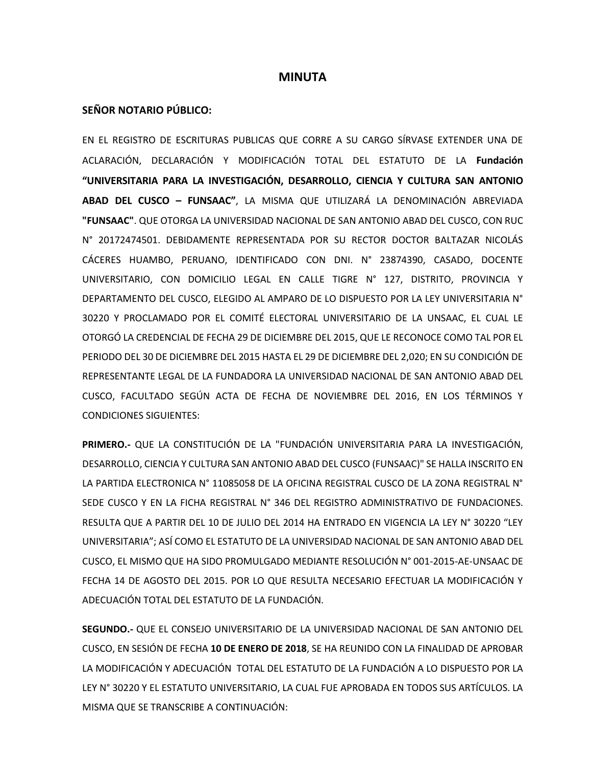#### **MINUTA**

#### **SEÑOR NOTARIO PÚBLICO:**

EN EL REGISTRO DE ESCRITURAS PUBLICAS QUE CORRE A SU CARGO SÍRVASE EXTENDER UNA DE ACLARACIÓN, DECLARACIÓN Y MODIFICACIÓN TOTAL DEL ESTATUTO DE LA **Fundación "UNIVERSITARIA PARA LA INVESTIGACIÓN, DESARROLLO, CIENCIA Y CULTURA SAN ANTONIO ABAD DEL CUSCO – FUNSAAC"**, LA MISMA QUE UTILIZARÁ LA DENOMINACIÓN ABREVIADA **"FUNSAAC"**. QUE OTORGA LA UNIVERSIDAD NACIONAL DE SAN ANTONIO ABAD DEL CUSCO, CON RUC N° 20172474501. DEBIDAMENTE REPRESENTADA POR SU RECTOR DOCTOR BALTAZAR NICOLÁS CÁCERES HUAMBO, PERUANO, IDENTIFICADO CON DNI. N° 23874390, CASADO, DOCENTE UNIVERSITARIO, CON DOMICILIO LEGAL EN CALLE TIGRE N° 127, DISTRITO, PROVINCIA Y DEPARTAMENTO DEL CUSCO, ELEGIDO AL AMPARO DE LO DISPUESTO POR LA LEY UNIVERSITARIA N° 30220 Y PROCLAMADO POR EL COMITÉ ELECTORAL UNIVERSITARIO DE LA UNSAAC, EL CUAL LE OTORGÓ LA CREDENCIAL DE FECHA 29 DE DICIEMBRE DEL 2015, QUE LE RECONOCE COMO TAL POR EL PERIODO DEL 30 DE DICIEMBRE DEL 2015 HASTA EL 29 DE DICIEMBRE DEL 2,020; EN SU CONDICIÓN DE REPRESENTANTE LEGAL DE LA FUNDADORA LA UNIVERSIDAD NACIONAL DE SAN ANTONIO ABAD DEL CUSCO, FACULTADO SEGÚN ACTA DE FECHA DE NOVIEMBRE DEL 2016, EN LOS TÉRMINOS Y CONDICIONES SIGUIENTES:

**PRIMERO.-** QUE LA CONSTITUCIÓN DE LA "FUNDACIÓN UNIVERSITARIA PARA LA INVESTIGACIÓN, DESARROLLO, CIENCIA Y CULTURA SAN ANTONIO ABAD DEL CUSCO (FUNSAAC)" SE HALLA INSCRITO EN LA PARTIDA ELECTRONICA N° 11085058 DE LA OFICINA REGISTRAL CUSCO DE LA ZONA REGISTRAL N° SEDE CUSCO Y EN LA FICHA REGISTRAL N° 346 DEL REGISTRO ADMINISTRATIVO DE FUNDACIONES. RESULTA QUE A PARTIR DEL 10 DE JULIO DEL 2014 HA ENTRADO EN VIGENCIA LA LEY N° 30220 "LEY UNIVERSITARIA"; ASÍ COMO EL ESTATUTO DE LA UNIVERSIDAD NACIONAL DE SAN ANTONIO ABAD DEL CUSCO, EL MISMO QUE HA SIDO PROMULGADO MEDIANTE RESOLUCIÓN N° 001-2015-AE-UNSAAC DE FECHA 14 DE AGOSTO DEL 2015. POR LO QUE RESULTA NECESARIO EFECTUAR LA MODIFICACIÓN Y ADECUACIÓN TOTAL DEL ESTATUTO DE LA FUNDACIÓN.

**SEGUNDO.-** QUE EL CONSEJO UNIVERSITARIO DE LA UNIVERSIDAD NACIONAL DE SAN ANTONIO DEL CUSCO, EN SESIÓN DE FECHA **10 DE ENERO DE 2018**, SE HA REUNIDO CON LA FINALIDAD DE APROBAR LA MODIFICACIÓN Y ADECUACIÓN TOTAL DEL ESTATUTO DE LA FUNDACIÓN A LO DISPUESTO POR LA LEY N° 30220 Y EL ESTATUTO UNIVERSITARIO, LA CUAL FUE APROBADA EN TODOS SUS ARTÍCULOS. LA MISMA QUE SE TRANSCRIBE A CONTINUACIÓN: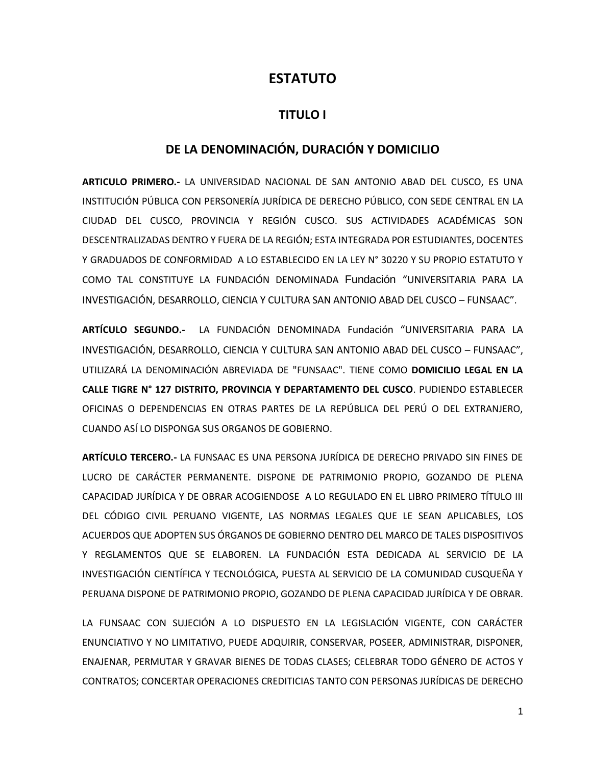## **ESTATUTO**

### **TITULO I**

### **DE LA DENOMINACIÓN, DURACIÓN Y DOMICILIO**

**ARTICULO PRIMERO.-** LA UNIVERSIDAD NACIONAL DE SAN ANTONIO ABAD DEL CUSCO, ES UNA INSTITUCIÓN PÚBLICA CON PERSONERÍA JURÍDICA DE DERECHO PÚBLICO, CON SEDE CENTRAL EN LA CIUDAD DEL CUSCO, PROVINCIA Y REGIÓN CUSCO. SUS ACTIVIDADES ACADÉMICAS SON DESCENTRALIZADAS DENTRO Y FUERA DE LA REGIÓN; ESTA INTEGRADA POR ESTUDIANTES, DOCENTES Y GRADUADOS DE CONFORMIDAD A LO ESTABLECIDO EN LA LEY N° 30220 Y SU PROPIO ESTATUTO Y COMO TAL CONSTITUYE LA FUNDACIÓN DENOMINADA Fundación "UNIVERSITARIA PARA LA INVESTIGACIÓN, DESARROLLO, CIENCIA Y CULTURA SAN ANTONIO ABAD DEL CUSCO – FUNSAAC".

**ARTÍCULO SEGUNDO.-** LA FUNDACIÓN DENOMINADA Fundación "UNIVERSITARIA PARA LA INVESTIGACIÓN, DESARROLLO, CIENCIA Y CULTURA SAN ANTONIO ABAD DEL CUSCO – FUNSAAC", UTILIZARÁ LA DENOMINACIÓN ABREVIADA DE "FUNSAAC". TIENE COMO **DOMICILIO LEGAL EN LA CALLE TIGRE N° 127 DISTRITO, PROVINCIA Y DEPARTAMENTO DEL CUSCO**. PUDIENDO ESTABLECER OFICINAS O DEPENDENCIAS EN OTRAS PARTES DE LA REPÚBLICA DEL PERÚ O DEL EXTRANJERO, CUANDO ASÍ LO DISPONGA SUS ORGANOS DE GOBIERNO.

**ARTÍCULO TERCERO.-** LA FUNSAAC ES UNA PERSONA JURÍDICA DE DERECHO PRIVADO SIN FINES DE LUCRO DE CARÁCTER PERMANENTE. DISPONE DE PATRIMONIO PROPIO, GOZANDO DE PLENA CAPACIDAD JURÍDICA Y DE OBRAR ACOGIENDOSE A LO REGULADO EN EL LIBRO PRIMERO TÍTULO III DEL CÓDIGO CIVIL PERUANO VIGENTE, LAS NORMAS LEGALES QUE LE SEAN APLICABLES, LOS ACUERDOS QUE ADOPTEN SUS ÓRGANOS DE GOBIERNO DENTRO DEL MARCO DE TALES DISPOSITIVOS Y REGLAMENTOS QUE SE ELABOREN. LA FUNDACIÓN ESTA DEDICADA AL SERVICIO DE LA INVESTIGACIÓN CIENTÍFICA Y TECNOLÓGICA, PUESTA AL SERVICIO DE LA COMUNIDAD CUSQUEÑA Y PERUANA DISPONE DE PATRIMONIO PROPIO, GOZANDO DE PLENA CAPACIDAD JURÍDICA Y DE OBRAR.

LA FUNSAAC CON SUJECIÓN A LO DISPUESTO EN LA LEGISLACIÓN VIGENTE, CON CARÁCTER ENUNCIATIVO Y NO LIMITATIVO, PUEDE ADQUIRIR, CONSERVAR, POSEER, ADMINISTRAR, DISPONER, ENAJENAR, PERMUTAR Y GRAVAR BIENES DE TODAS CLASES; CELEBRAR TODO GÉNERO DE ACTOS Y CONTRATOS; CONCERTAR OPERACIONES CREDITICIAS TANTO CON PERSONAS JURÍDICAS DE DERECHO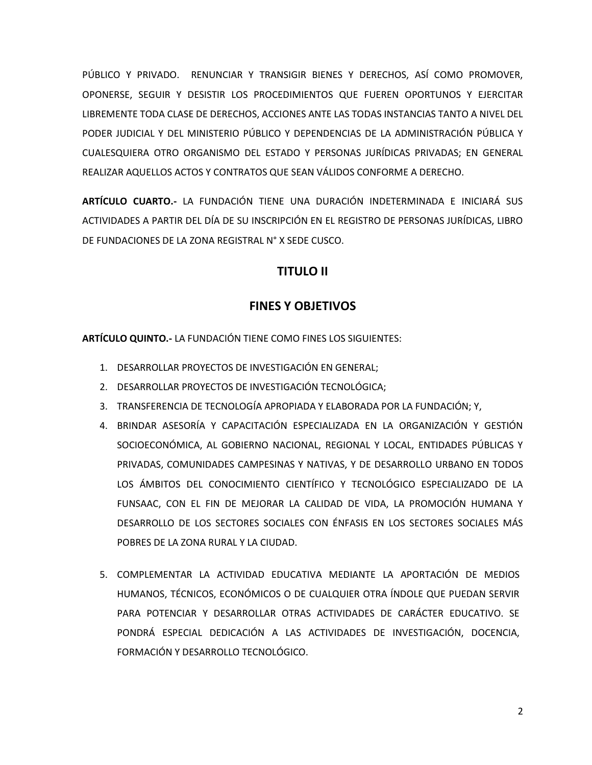PÚBLICO Y PRIVADO. RENUNCIAR Y TRANSIGIR BIENES Y DERECHOS, ASÍ COMO PROMOVER, OPONERSE, SEGUIR Y DESISTIR LOS PROCEDIMIENTOS QUE FUEREN OPORTUNOS Y EJERCITAR LIBREMENTE TODA CLASE DE DERECHOS, ACCIONES ANTE LAS TODAS INSTANCIAS TANTO A NIVEL DEL PODER JUDICIAL Y DEL MINISTERIO PÚBLICO Y DEPENDENCIAS DE LA ADMINISTRACIÓN PÚBLICA Y CUALESQUIERA OTRO ORGANISMO DEL ESTADO Y PERSONAS JURÍDICAS PRIVADAS; EN GENERAL REALIZAR AQUELLOS ACTOS Y CONTRATOS QUE SEAN VÁLIDOS CONFORME A DERECHO.

**ARTÍCULO CUARTO.-** LA FUNDACIÓN TIENE UNA DURACIÓN INDETERMINADA E INICIARÁ SUS ACTIVIDADES A PARTIR DEL DÍA DE SU INSCRIPCIÓN EN EL REGISTRO DE PERSONAS JURÍDICAS, LIBRO DE FUNDACIONES DE LA ZONA REGISTRAL N° X SEDE CUSCO.

### **TITULO II**

### **FINES Y OBJETIVOS**

**ARTÍCULO QUINTO.-** LA FUNDACIÓN TIENE COMO FINES LOS SIGUIENTES:

- 1. DESARROLLAR PROYECTOS DE INVESTIGACIÓN EN GENERAL;
- 2. DESARROLLAR PROYECTOS DE INVESTIGACIÓN TECNOLÓGICA;
- 3. TRANSFERENCIA DE TECNOLOGÍA APROPIADA Y ELABORADA POR LA FUNDACIÓN; Y,
- 4. BRINDAR ASESORÍA Y CAPACITACIÓN ESPECIALIZADA EN LA ORGANIZACIÓN Y GESTIÓN SOCIOECONÓMICA, AL GOBIERNO NACIONAL, REGIONAL Y LOCAL, ENTIDADES PÚBLICAS Y PRIVADAS, COMUNIDADES CAMPESINAS Y NATIVAS, Y DE DESARROLLO URBANO EN TODOS LOS ÁMBITOS DEL CONOCIMIENTO CIENTÍFICO Y TECNOLÓGICO ESPECIALIZADO DE LA FUNSAAC, CON EL FIN DE MEJORAR LA CALIDAD DE VIDA, LA PROMOCIÓN HUMANA Y DESARROLLO DE LOS SECTORES SOCIALES CON ÉNFASIS EN LOS SECTORES SOCIALES MÁS POBRES DE LA ZONA RURAL Y LA CIUDAD.
- 5. COMPLEMENTAR LA ACTIVIDAD EDUCATIVA MEDIANTE LA APORTACIÓN DE MEDIOS HUMANOS, TÉCNICOS, ECONÓMICOS O DE CUALQUIER OTRA ÍNDOLE QUE PUEDAN SERVIR PARA POTENCIAR Y DESARROLLAR OTRAS ACTIVIDADES DE CARÁCTER EDUCATIVO. SE PONDRÁ ESPECIAL DEDICACIÓN A LAS ACTIVIDADES DE INVESTIGACIÓN, DOCENCIA, FORMACIÓN Y DESARROLLO TECNOLÓGICO.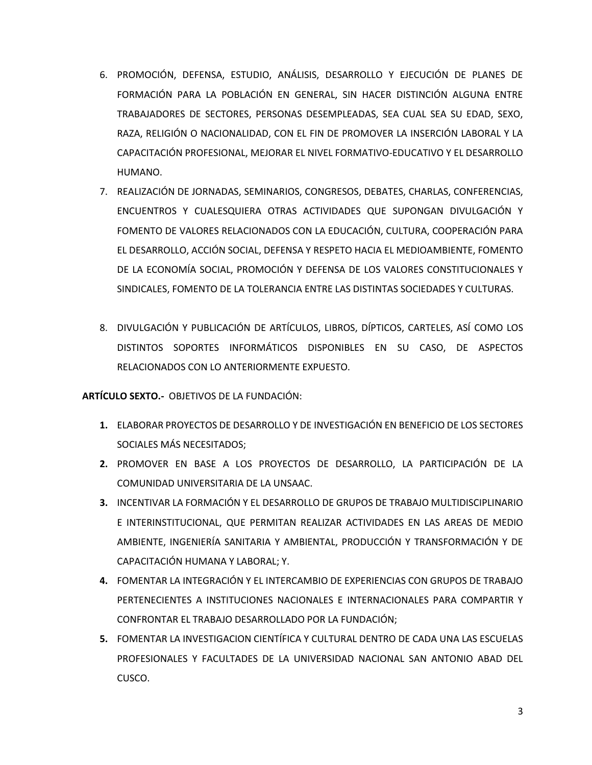- 6. PROMOCIÓN, DEFENSA, ESTUDIO, ANÁLISIS, DESARROLLO Y EJECUCIÓN DE PLANES DE FORMACIÓN PARA LA POBLACIÓN EN GENERAL, SIN HACER DISTINCIÓN ALGUNA ENTRE TRABAJADORES DE SECTORES, PERSONAS DESEMPLEADAS, SEA CUAL SEA SU EDAD, SEXO, RAZA, RELIGIÓN O NACIONALIDAD, CON EL FIN DE PROMOVER LA INSERCIÓN LABORAL Y LA CAPACITACIÓN PROFESIONAL, MEJORAR EL NIVEL FORMATIVO-EDUCATIVO Y EL DESARROLLO HUMANO.
- 7. REALIZACIÓN DE JORNADAS, SEMINARIOS, CONGRESOS, DEBATES, CHARLAS, CONFERENCIAS, ENCUENTROS Y CUALESQUIERA OTRAS ACTIVIDADES QUE SUPONGAN DIVULGACIÓN Y FOMENTO DE VALORES RELACIONADOS CON LA EDUCACIÓN, CULTURA, COOPERACIÓN PARA EL DESARROLLO, ACCIÓN SOCIAL, DEFENSA Y RESPETO HACIA EL MEDIOAMBIENTE, FOMENTO DE LA ECONOMÍA SOCIAL, PROMOCIÓN Y DEFENSA DE LOS VALORES CONSTITUCIONALES Y SINDICALES, FOMENTO DE LA TOLERANCIA ENTRE LAS DISTINTAS SOCIEDADES Y CULTURAS.
- 8. DIVULGACIÓN Y PUBLICACIÓN DE ARTÍCULOS, LIBROS, DÍPTICOS, CARTELES, ASÍ COMO LOS DISTINTOS SOPORTES INFORMÁTICOS DISPONIBLES EN SU CASO, DE ASPECTOS RELACIONADOS CON LO ANTERIORMENTE EXPUESTO.

**ARTÍCULO SEXTO.-** OBJETIVOS DE LA FUNDACIÓN:

- **1.** ELABORAR PROYECTOS DE DESARROLLO Y DE INVESTIGACIÓN EN BENEFICIO DE LOS SECTORES SOCIALES MÁS NECESITADOS;
- **2.** PROMOVER EN BASE A LOS PROYECTOS DE DESARROLLO, LA PARTICIPACIÓN DE LA COMUNIDAD UNIVERSITARIA DE LA UNSAAC.
- **3.** INCENTIVAR LA FORMACIÓN Y EL DESARROLLO DE GRUPOS DE TRABAJO MULTIDISCIPLINARIO E INTERINSTITUCIONAL, QUE PERMITAN REALIZAR ACTIVIDADES EN LAS AREAS DE MEDIO AMBIENTE, INGENIERÍA SANITARIA Y AMBIENTAL, PRODUCCIÓN Y TRANSFORMACIÓN Y DE CAPACITACIÓN HUMANA Y LABORAL; Y.
- **4.** FOMENTAR LA INTEGRACIÓN Y EL INTERCAMBIO DE EXPERIENCIAS CON GRUPOS DE TRABAJO PERTENECIENTES A INSTITUCIONES NACIONALES E INTERNACIONALES PARA COMPARTIR Y CONFRONTAR EL TRABAJO DESARROLLADO POR LA FUNDACIÓN;
- **5.** FOMENTAR LA INVESTIGACION CIENTÍFICA Y CULTURAL DENTRO DE CADA UNA LAS ESCUELAS PROFESIONALES Y FACULTADES DE LA UNIVERSIDAD NACIONAL SAN ANTONIO ABAD DEL CUSCO.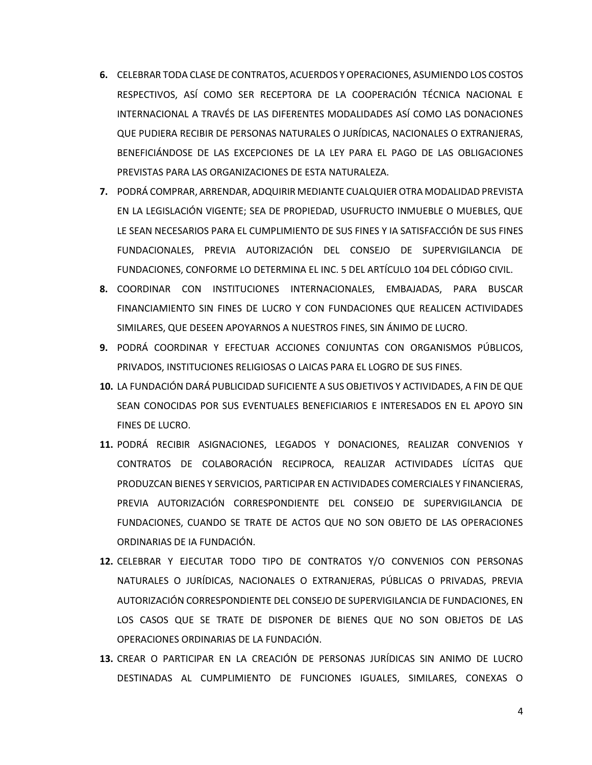- **6.** CELEBRAR TODA CLASE DE CONTRATOS, ACUERDOS Y OPERACIONES, ASUMIENDO LOS COSTOS RESPECTIVOS, ASÍ COMO SER RECEPTORA DE LA COOPERACIÓN TÉCNICA NACIONAL E INTERNACIONAL A TRAVÉS DE LAS DIFERENTES MODALIDADES ASÍ COMO LAS DONACIONES QUE PUDIERA RECIBIR DE PERSONAS NATURALES O JURÍDICAS, NACIONALES O EXTRANJERAS, BENEFICIÁNDOSE DE LAS EXCEPCIONES DE LA LEY PARA EL PAGO DE LAS OBLIGACIONES PREVISTAS PARA LAS ORGANIZACIONES DE ESTA NATURALEZA.
- **7.** PODRÁ COMPRAR, ARRENDAR, ADQUIRIR MEDIANTE CUALQUIER OTRA MODALIDAD PREVISTA EN LA LEGISLACIÓN VIGENTE; SEA DE PROPIEDAD, USUFRUCTO INMUEBLE O MUEBLES, QUE LE SEAN NECESARIOS PARA EL CUMPLIMIENTO DE SUS FINES Y IA SATISFACCIÓN DE SUS FINES FUNDACIONALES, PREVIA AUTORIZACIÓN DEL CONSEJO DE SUPERVIGILANCIA DE FUNDACIONES, CONFORME LO DETERMINA EL INC. 5 DEL ARTÍCULO 104 DEL CÓDIGO CIVIL.
- **8.** COORDINAR CON INSTITUCIONES INTERNACIONALES, EMBAJADAS, PARA BUSCAR FINANCIAMIENTO SIN FINES DE LUCRO Y CON FUNDACIONES QUE REALICEN ACTIVIDADES SIMILARES, QUE DESEEN APOYARNOS A NUESTROS FINES, SIN ÁNIMO DE LUCRO.
- **9.** PODRÁ COORDINAR Y EFECTUAR ACCIONES CONJUNTAS CON ORGANISMOS PÚBLICOS, PRIVADOS, INSTITUCIONES RELIGIOSAS O LAICAS PARA EL LOGRO DE SUS FINES.
- **10.** LA FUNDACIÓN DARÁ PUBLICIDAD SUFICIENTE A SUS OBJETIVOS Y ACTIVIDADES, A FIN DE QUE SEAN CONOCIDAS POR SUS EVENTUALES BENEFICIARIOS E INTERESADOS EN EL APOYO SIN FINES DE LUCRO.
- **11.** PODRÁ RECIBIR ASIGNACIONES, LEGADOS Y DONACIONES, REALIZAR CONVENIOS Y CONTRATOS DE COLABORACIÓN RECIPROCA, REALIZAR ACTIVIDADES LÍCITAS QUE PRODUZCAN BIENES Y SERVICIOS, PARTICIPAR EN ACTIVIDADES COMERCIALES Y FINANCIERAS, PREVIA AUTORIZACIÓN CORRESPONDIENTE DEL CONSEJO DE SUPERVIGILANCIA DE FUNDACIONES, CUANDO SE TRATE DE ACTOS QUE NO SON OBJETO DE LAS OPERACIONES ORDINARIAS DE IA FUNDACIÓN.
- **12.** CELEBRAR Y EJECUTAR TODO TIPO DE CONTRATOS Y/O CONVENIOS CON PERSONAS NATURALES O JURÍDICAS, NACIONALES O EXTRANJERAS, PÚBLICAS O PRIVADAS, PREVIA AUTORIZACIÓN CORRESPONDIENTE DEL CONSEJO DE SUPERVIGILANCIA DE FUNDACIONES, EN LOS CASOS QUE SE TRATE DE DISPONER DE BIENES QUE NO SON OBJETOS DE LAS OPERACIONES ORDINARIAS DE LA FUNDACIÓN.
- **13.** CREAR O PARTICIPAR EN LA CREACIÓN DE PERSONAS JURÍDICAS SIN ANIMO DE LUCRO DESTINADAS AL CUMPLIMIENTO DE FUNCIONES IGUALES, SIMILARES, CONEXAS O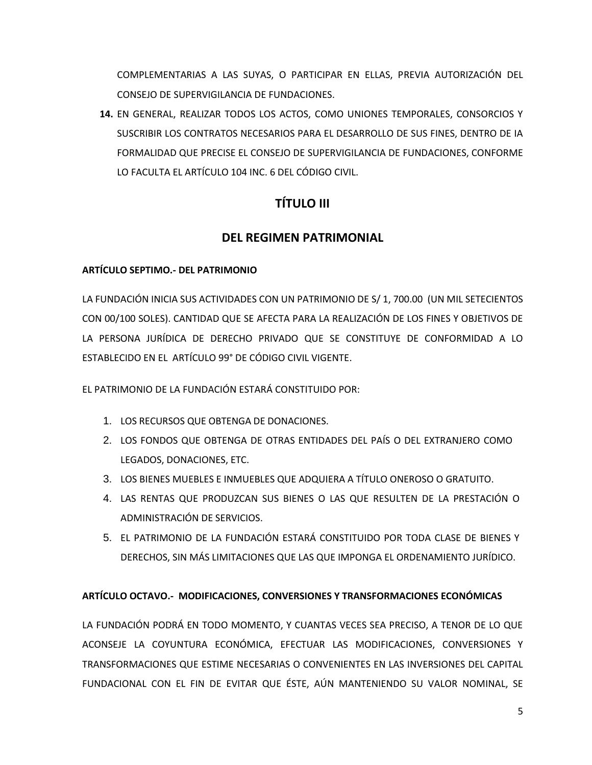COMPLEMENTARIAS A LAS SUYAS, O PARTICIPAR EN ELLAS, PREVIA AUTORIZACIÓN DEL CONSEJO DE SUPERVIGILANCIA DE FUNDACIONES.

**14.** EN GENERAL, REALIZAR TODOS LOS ACTOS, COMO UNIONES TEMPORALES, CONSORCIOS Y SUSCRIBIR LOS CONTRATOS NECESARIOS PARA EL DESARROLLO DE SUS FINES, DENTRO DE IA FORMALIDAD QUE PRECISE EL CONSEJO DE SUPERVIGILANCIA DE FUNDACIONES, CONFORME LO FACULTA EL ARTÍCULO 104 INC. 6 DEL CÓDIGO CIVIL.

# **TÍTULO III**

# **DEL REGIMEN PATRIMONIAL**

### **ARTÍCULO SEPTIMO.- DEL PATRIMONIO**

LA FUNDACIÓN INICIA SUS ACTIVIDADES CON UN PATRIMONIO DE S/ 1, 700.00 (UN MIL SETECIENTOS CON 00/100 SOLES). CANTIDAD QUE SE AFECTA PARA LA REALIZACIÓN DE LOS FINES Y OBJETIVOS DE LA PERSONA JURÍDICA DE DERECHO PRIVADO QUE SE CONSTITUYE DE CONFORMIDAD A LO ESTABLECIDO EN EL ARTÍCULO 99° DE CÓDIGO CIVIL VIGENTE.

EL PATRIMONIO DE LA FUNDACIÓN ESTARÁ CONSTITUIDO POR:

- 1. LOS RECURSOS QUE OBTENGA DE DONACIONES.
- 2. LOS FONDOS QUE OBTENGA DE OTRAS ENTIDADES DEL PAÍS O DEL EXTRANJERO COMO LEGADOS, DONACIONES, ETC.
- 3. LOS BIENES MUEBLES E INMUEBLES QUE ADQUIERA A TÍTULO ONEROSO O GRATUITO.
- 4. LAS RENTAS QUE PRODUZCAN SUS BIENES O LAS QUE RESULTEN DE LA PRESTACIÓN O ADMINISTRACIÓN DE SERVICIOS.
- 5. EL PATRIMONIO DE LA FUNDACIÓN ESTARÁ CONSTITUIDO POR TODA CLASE DE BIENES Y DERECHOS, SIN MÁS LIMITACIONES QUE LAS QUE IMPONGA EL ORDENAMIENTO JURÍDICO.

## **ARTÍCULO OCTAVO.- MODIFICACIONES, CONVERSIONES Y TRANSFORMACIONES ECONÓMICAS**

LA FUNDACIÓN PODRÁ EN TODO MOMENTO, Y CUANTAS VECES SEA PRECISO, A TENOR DE LO QUE ACONSEJE LA COYUNTURA ECONÓMICA, EFECTUAR LAS MODIFICACIONES, CONVERSIONES Y TRANSFORMACIONES QUE ESTIME NECESARIAS O CONVENIENTES EN LAS INVERSIONES DEL CAPITAL FUNDACIONAL CON EL FIN DE EVITAR QUE ÉSTE, AÚN MANTENIENDO SU VALOR NOMINAL, SE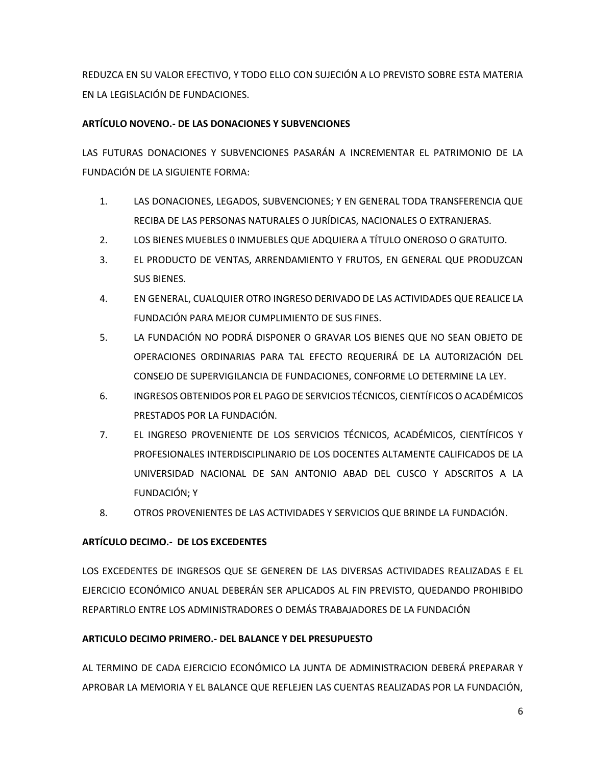REDUZCA EN SU VALOR EFECTIVO, Y TODO ELLO CON SUJECIÓN A LO PREVISTO SOBRE ESTA MATERIA EN LA LEGISLACIÓN DE FUNDACIONES.

### **ARTÍCULO NOVENO.- DE LAS DONACIONES Y SUBVENCIONES**

LAS FUTURAS DONACIONES Y SUBVENCIONES PASARÁN A INCREMENTAR EL PATRIMONIO DE LA FUNDACIÓN DE LA SIGUIENTE FORMA:

- 1. LAS DONACIONES, LEGADOS, SUBVENCIONES; Y EN GENERAL TODA TRANSFERENCIA QUE RECIBA DE LAS PERSONAS NATURALES O JURÍDICAS, NACIONALES O EXTRANJERAS.
- 2. LOS BIENES MUEBLES 0 INMUEBLES QUE ADQUIERA A TÍTULO ONEROSO O GRATUITO.
- 3. EL PRODUCTO DE VENTAS, ARRENDAMIENTO Y FRUTOS, EN GENERAL QUE PRODUZCAN SUS BIENES.
- 4. EN GENERAL, CUALQUIER OTRO INGRESO DERIVADO DE LAS ACTIVIDADES QUE REALICE LA FUNDACIÓN PARA MEJOR CUMPLIMIENTO DE SUS FINES.
- 5. LA FUNDACIÓN NO PODRÁ DISPONER O GRAVAR LOS BIENES QUE NO SEAN OBJETO DE OPERACIONES ORDINARIAS PARA TAL EFECTO REQUERIRÁ DE LA AUTORIZACIÓN DEL CONSEJO DE SUPERVIGILANCIA DE FUNDACIONES, CONFORME LO DETERMINE LA LEY.
- 6. INGRESOS OBTENIDOS POR EL PAGO DE SERVICIOS TÉCNICOS, CIENTÍFICOS O ACADÉMICOS PRESTADOS POR LA FUNDACIÓN.
- 7. EL INGRESO PROVENIENTE DE LOS SERVICIOS TÉCNICOS, ACADÉMICOS, CIENTÍFICOS Y PROFESIONALES INTERDISCIPLINARIO DE LOS DOCENTES ALTAMENTE CALIFICADOS DE LA UNIVERSIDAD NACIONAL DE SAN ANTONIO ABAD DEL CUSCO Y ADSCRITOS A LA FUNDACIÓN; Y
- 8. OTROS PROVENIENTES DE LAS ACTIVIDADES Y SERVICIOS QUE BRINDE LA FUNDACIÓN.

### **ARTÍCULO DECIMO.- DE LOS EXCEDENTES**

LOS EXCEDENTES DE INGRESOS QUE SE GENEREN DE LAS DIVERSAS ACTIVIDADES REALIZADAS E EL EJERCICIO ECONÓMICO ANUAL DEBERÁN SER APLICADOS AL FIN PREVISTO, QUEDANDO PROHIBIDO REPARTIRLO ENTRE LOS ADMINISTRADORES O DEMÁS TRABAJADORES DE LA FUNDACIÓN

### **ARTICULO DECIMO PRIMERO.- DEL BALANCE Y DEL PRESUPUESTO**

AL TERMINO DE CADA EJERCICIO ECONÓMICO LA JUNTA DE ADMINISTRACION DEBERÁ PREPARAR Y APROBAR LA MEMORIA Y EL BALANCE QUE REFLEJEN LAS CUENTAS REALIZADAS POR LA FUNDACIÓN,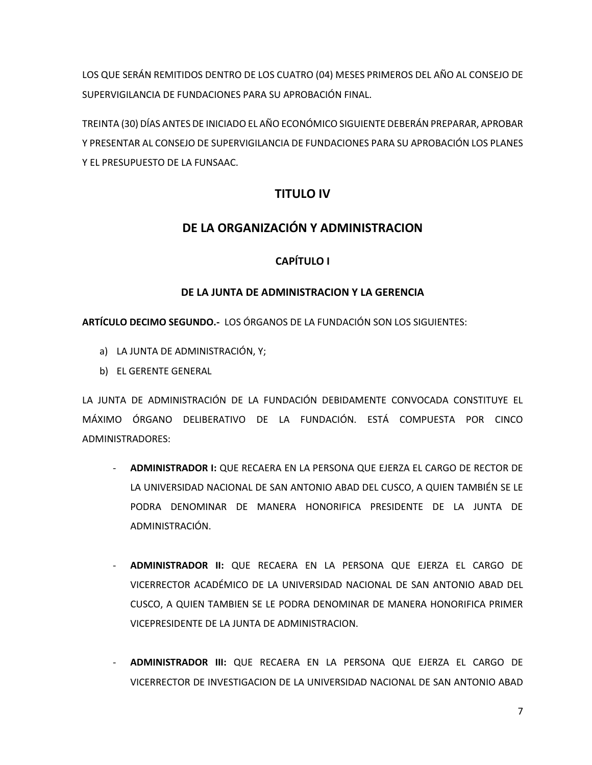LOS QUE SERÁN REMITIDOS DENTRO DE LOS CUATRO (04) MESES PRIMEROS DEL AÑO AL CONSEJO DE SUPERVIGILANCIA DE FUNDACIONES PARA SU APROBACIÓN FINAL.

TREINTA (30) DÍAS ANTES DE INICIADO EL AÑO ECONÓMICO SIGUIENTE DEBERÁN PREPARAR, APROBAR Y PRESENTAR AL CONSEJO DE SUPERVIGILANCIA DE FUNDACIONES PARA SU APROBACIÓN LOS PLANES Y EL PRESUPUESTO DE LA FUNSAAC.

# **TITULO IV**

## **DE LA ORGANIZACIÓN Y ADMINISTRACION**

### **CAPÍTULO I**

### **DE LA JUNTA DE ADMINISTRACION Y LA GERENCIA**

**ARTÍCULO DECIMO SEGUNDO.-** LOS ÓRGANOS DE LA FUNDACIÓN SON LOS SIGUIENTES:

- a) LA JUNTA DE ADMINISTRACIÓN, Y;
- b) EL GERENTE GENERAL

LA JUNTA DE ADMINISTRACIÓN DE LA FUNDACIÓN DEBIDAMENTE CONVOCADA CONSTITUYE EL MÁXIMO ÓRGANO DELIBERATIVO DE LA FUNDACIÓN. ESTÁ COMPUESTA POR CINCO ADMINISTRADORES:

- **ADMINISTRADOR I:** QUE RECAERA EN LA PERSONA QUE EJERZA EL CARGO DE RECTOR DE LA UNIVERSIDAD NACIONAL DE SAN ANTONIO ABAD DEL CUSCO, A QUIEN TAMBIÉN SE LE PODRA DENOMINAR DE MANERA HONORIFICA PRESIDENTE DE LA JUNTA DE ADMINISTRACIÓN.
- **ADMINISTRADOR II:** QUE RECAERA EN LA PERSONA QUE EJERZA EL CARGO DE VICERRECTOR ACADÉMICO DE LA UNIVERSIDAD NACIONAL DE SAN ANTONIO ABAD DEL CUSCO, A QUIEN TAMBIEN SE LE PODRA DENOMINAR DE MANERA HONORIFICA PRIMER VICEPRESIDENTE DE LA JUNTA DE ADMINISTRACION.
- **ADMINISTRADOR III:** QUE RECAERA EN LA PERSONA QUE EJERZA EL CARGO DE VICERRECTOR DE INVESTIGACION DE LA UNIVERSIDAD NACIONAL DE SAN ANTONIO ABAD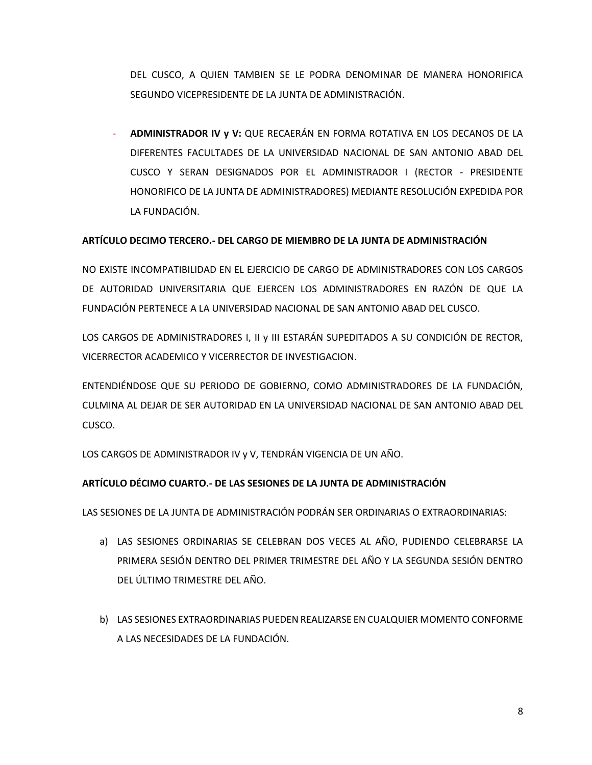DEL CUSCO, A QUIEN TAMBIEN SE LE PODRA DENOMINAR DE MANERA HONORIFICA SEGUNDO VICEPRESIDENTE DE LA JUNTA DE ADMINISTRACIÓN.

- **ADMINISTRADOR IV y V:** QUE RECAERÁN EN FORMA ROTATIVA EN LOS DECANOS DE LA DIFERENTES FACULTADES DE LA UNIVERSIDAD NACIONAL DE SAN ANTONIO ABAD DEL CUSCO Y SERAN DESIGNADOS POR EL ADMINISTRADOR I (RECTOR - PRESIDENTE HONORIFICO DE LA JUNTA DE ADMINISTRADORES) MEDIANTE RESOLUCIÓN EXPEDIDA POR LA FUNDACIÓN.

### **ARTÍCULO DECIMO TERCERO.- DEL CARGO DE MIEMBRO DE LA JUNTA DE ADMINISTRACIÓN**

NO EXISTE INCOMPATIBILIDAD EN EL EJERCICIO DE CARGO DE ADMINISTRADORES CON LOS CARGOS DE AUTORIDAD UNIVERSITARIA QUE EJERCEN LOS ADMINISTRADORES EN RAZÓN DE QUE LA FUNDACIÓN PERTENECE A LA UNIVERSIDAD NACIONAL DE SAN ANTONIO ABAD DEL CUSCO.

LOS CARGOS DE ADMINISTRADORES I, II y III ESTARÁN SUPEDITADOS A SU CONDICIÓN DE RECTOR, VICERRECTOR ACADEMICO Y VICERRECTOR DE INVESTIGACION.

ENTENDIÉNDOSE QUE SU PERIODO DE GOBIERNO, COMO ADMINISTRADORES DE LA FUNDACIÓN, CULMINA AL DEJAR DE SER AUTORIDAD EN LA UNIVERSIDAD NACIONAL DE SAN ANTONIO ABAD DEL CUSCO.

LOS CARGOS DE ADMINISTRADOR IV y V, TENDRÁN VIGENCIA DE UN AÑO.

#### **ARTÍCULO DÉCIMO CUARTO.- DE LAS SESIONES DE LA JUNTA DE ADMINISTRACIÓN**

LAS SESIONES DE LA JUNTA DE ADMINISTRACIÓN PODRÁN SER ORDINARIAS O EXTRAORDINARIAS:

- a) LAS SESIONES ORDINARIAS SE CELEBRAN DOS VECES AL AÑO, PUDIENDO CELEBRARSE LA PRIMERA SESIÓN DENTRO DEL PRIMER TRIMESTRE DEL AÑO Y LA SEGUNDA SESIÓN DENTRO DEL ÚLTIMO TRIMESTRE DEL AÑO.
- b) LAS SESIONES EXTRAORDINARIAS PUEDEN REALIZARSE EN CUALQUIER MOMENTO CONFORME A LAS NECESIDADES DE LA FUNDACIÓN.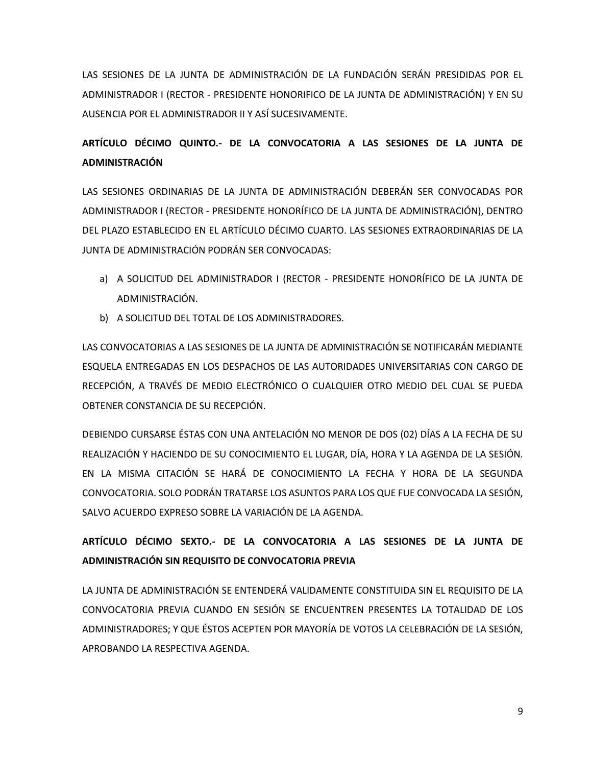LAS SESIONES DE LA JUNTA DE ADMINISTRACIÓN DE LA FUNDACIÓN SERÁN PRESIDIDAS POR EL ADMINISTRADOR I (RECTOR - PRESIDENTE HONORIFICO DE LA JUNTA DE ADMINISTRACIÓN) Y EN SU AUSENCIA POR EL ADMINISTRADOR II Y ASÍ SUCESIVAMENTE.

# **ARTÍCULO DÉCIMO QUINTO.- DE LA CONVOCATORIA A LAS SESIONES DE LA JUNTA DE ADMINISTRACIÓN**

LAS SESIONES ORDINARIAS DE LA JUNTA DE ADMINISTRACIÓN DEBERÁN SER CONVOCADAS POR ADMINISTRADOR I (RECTOR - PRESIDENTE HONORÍFICO DE LA JUNTA DE ADMINISTRACIÓN), DENTRO DEL PLAZO ESTABLECIDO EN EL ARTÍCULO DÉCIMO CUARTO. LAS SESIONES EXTRAORDINARIAS DE LA JUNTA DE ADMINISTRACIÓN PODRÁN SER CONVOCADAS:

- a) A SOLICITUD DEL ADMINISTRADOR I (RECTOR PRESIDENTE HONORÍFICO DE LA JUNTA DE ADMINISTRACIÓN.
- b) A SOLICITUD DEL TOTAL DE LOS ADMINISTRADORES.

LAS CONVOCATORIAS A LAS SESIONES DE LA JUNTA DE ADMINISTRACIÓN SE NOTIFICARÁN MEDIANTE ESQUELA ENTREGADAS EN LOS DESPACHOS DE LAS AUTORIDADES UNIVERSITARIAS CON CARGO DE RECEPCIÓN, A TRAVÉS DE MEDIO ELECTRÓNICO O CUALQUIER OTRO MEDIO DEL CUAL SE PUEDA OBTENER CONSTANCIA DE SU RECEPCIÓN.

DEBIENDO CURSARSE ÉSTAS CON UNA ANTELACIÓN NO MENOR DE DOS (02) DÍAS A LA FECHA DE SU REALIZACIÓN Y HACIENDO DE SU CONOCIMIENTO EL LUGAR, DÍA, HORA Y LA AGENDA DE LA SESIÓN. EN LA MISMA CITACIÓN SE HARÁ DE CONOCIMIENTO LA FECHA Y HORA DE LA SEGUNDA CONVOCATORIA. SOLO PODRÁN TRATARSE LOS ASUNTOS PARA LOS QUE FUE CONVOCADA LA SESIÓN, SALVO ACUERDO EXPRESO SOBRE LA VARIACIÓN DE LA AGENDA.

# **ARTÍCULO DÉCIMO SEXTO.- DE LA CONVOCATORIA A LAS SESIONES DE LA JUNTA DE ADMINISTRACIÓN SIN REQUISITO DE CONVOCATORIA PREVIA**

LA JUNTA DE ADMINISTRACIÓN SE ENTENDERÁ VALIDAMENTE CONSTITUIDA SIN EL REQUISITO DE LA CONVOCATORIA PREVIA CUANDO EN SESIÓN SE ENCUENTREN PRESENTES LA TOTALIDAD DE LOS ADMINISTRADORES; Y QUE ÉSTOS ACEPTEN POR MAYORÍA DE VOTOS LA CELEBRACIÓN DE LA SESIÓN, APROBANDO LA RESPECTIVA AGENDA.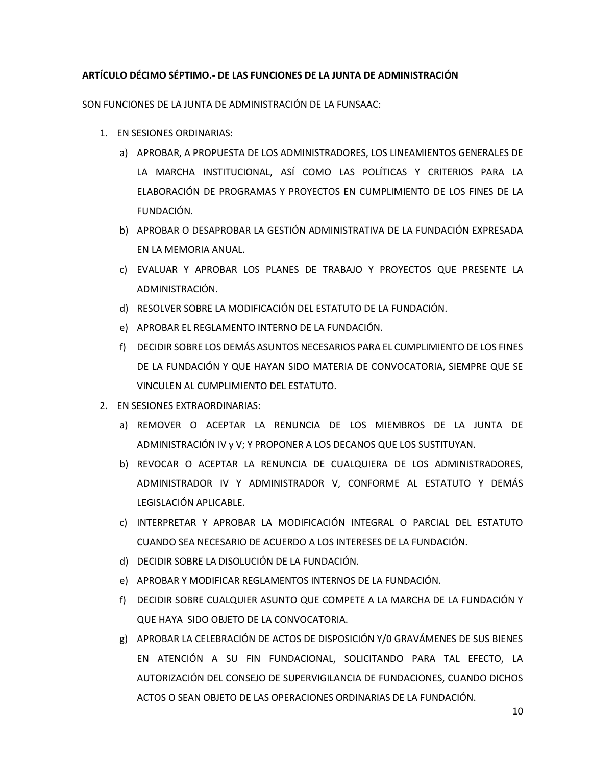#### **ARTÍCULO DÉCIMO SÉPTIMO.- DE LAS FUNCIONES DE LA JUNTA DE ADMINISTRACIÓN**

SON FUNCIONES DE LA JUNTA DE ADMINISTRACIÓN DE LA FUNSAAC:

- 1. EN SESIONES ORDINARIAS:
	- a) APROBAR, A PROPUESTA DE LOS ADMINISTRADORES, LOS LINEAMIENTOS GENERALES DE LA MARCHA INSTITUCIONAL, ASÍ COMO LAS POLÍTICAS Y CRITERIOS PARA LA ELABORACIÓN DE PROGRAMAS Y PROYECTOS EN CUMPLIMIENTO DE LOS FINES DE LA FUNDACIÓN.
	- b) APROBAR O DESAPROBAR LA GESTIÓN ADMINISTRATIVA DE LA FUNDACIÓN EXPRESADA EN LA MEMORIA ANUAL.
	- c) EVALUAR Y APROBAR LOS PLANES DE TRABAJO Y PROYECTOS QUE PRESENTE LA ADMINISTRACIÓN.
	- d) RESOLVER SOBRE LA MODIFICACIÓN DEL ESTATUTO DE LA FUNDACIÓN.
	- e) APROBAR EL REGLAMENTO INTERNO DE LA FUNDACIÓN.
	- f) DECIDIR SOBRE LOS DEMÁS ASUNTOS NECESARIOS PARA EL CUMPLIMIENTO DE LOS FINES DE LA FUNDACIÓN Y QUE HAYAN SIDO MATERIA DE CONVOCATORIA, SIEMPRE QUE SE VINCULEN AL CUMPLIMIENTO DEL ESTATUTO.
- 2. EN SESIONES EXTRAORDINARIAS:
	- a) REMOVER O ACEPTAR LA RENUNCIA DE LOS MIEMBROS DE LA JUNTA DE ADMINISTRACIÓN IV y V; Y PROPONER A LOS DECANOS QUE LOS SUSTITUYAN.
	- b) REVOCAR O ACEPTAR LA RENUNCIA DE CUALQUIERA DE LOS ADMINISTRADORES, ADMINISTRADOR IV Y ADMINISTRADOR V, CONFORME AL ESTATUTO Y DEMÁS LEGISLACIÓN APLICABLE.
	- c) INTERPRETAR Y APROBAR LA MODIFICACIÓN INTEGRAL O PARCIAL DEL ESTATUTO CUANDO SEA NECESARIO DE ACUERDO A LOS INTERESES DE LA FUNDACIÓN.
	- d) DECIDIR SOBRE LA DISOLUCIÓN DE LA FUNDACIÓN.
	- e) APROBAR Y MODIFICAR REGLAMENTOS INTERNOS DE LA FUNDACIÓN.
	- f) DECIDIR SOBRE CUALQUIER ASUNTO QUE COMPETE A LA MARCHA DE LA FUNDACIÓN Y QUE HAYA SIDO OBJETO DE LA CONVOCATORIA.
	- g) APROBAR LA CELEBRACIÓN DE ACTOS DE DISPOSICIÓN Y/0 GRAVÁMENES DE SUS BIENES EN ATENCIÓN A SU FIN FUNDACIONAL, SOLICITANDO PARA TAL EFECTO, LA AUTORIZACIÓN DEL CONSEJO DE SUPERVIGILANCIA DE FUNDACIONES, CUANDO DICHOS ACTOS O SEAN OBJETO DE LAS OPERACIONES ORDINARIAS DE LA FUNDACIÓN.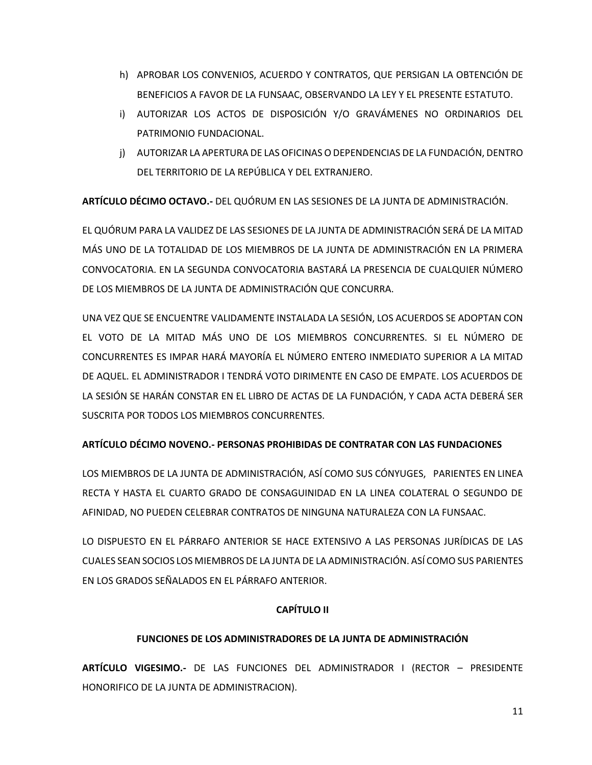- h) APROBAR LOS CONVENIOS, ACUERDO Y CONTRATOS, QUE PERSIGAN LA OBTENCIÓN DE BENEFICIOS A FAVOR DE LA FUNSAAC, OBSERVANDO LA LEY Y EL PRESENTE ESTATUTO.
- i) AUTORIZAR LOS ACTOS DE DISPOSICIÓN Y/O GRAVÁMENES NO ORDINARIOS DEL PATRIMONIO FUNDACIONAL.
- j) AUTORIZAR LA APERTURA DE LAS OFICINAS O DEPENDENCIAS DE LA FUNDACIÓN, DENTRO DEL TERRITORIO DE LA REPÚBLICA Y DEL EXTRANJERO.

**ARTÍCULO DÉCIMO OCTAVO.-** DEL QUÓRUM EN LAS SESIONES DE LA JUNTA DE ADMINISTRACIÓN.

EL QUÓRUM PARA LA VALIDEZ DE LAS SESIONES DE LA JUNTA DE ADMINISTRACIÓN SERÁ DE LA MITAD MÁS UNO DE LA TOTALIDAD DE LOS MIEMBROS DE LA JUNTA DE ADMINISTRACIÓN EN LA PRIMERA CONVOCATORIA. EN LA SEGUNDA CONVOCATORIA BASTARÁ LA PRESENCIA DE CUALQUIER NÚMERO DE LOS MIEMBROS DE LA JUNTA DE ADMINISTRACIÓN QUE CONCURRA.

UNA VEZ QUE SE ENCUENTRE VALIDAMENTE INSTALADA LA SESIÓN, LOS ACUERDOS SE ADOPTAN CON EL VOTO DE LA MITAD MÁS UNO DE LOS MIEMBROS CONCURRENTES. SI EL NÚMERO DE CONCURRENTES ES IMPAR HARÁ MAYORÍA EL NÚMERO ENTERO INMEDIATO SUPERIOR A LA MITAD DE AQUEL. EL ADMINISTRADOR I TENDRÁ VOTO DIRIMENTE EN CASO DE EMPATE. LOS ACUERDOS DE LA SESIÓN SE HARÁN CONSTAR EN EL LIBRO DE ACTAS DE LA FUNDACIÓN, Y CADA ACTA DEBERÁ SER SUSCRITA POR TODOS LOS MIEMBROS CONCURRENTES.

### **ARTÍCULO DÉCIMO NOVENO.- PERSONAS PROHIBIDAS DE CONTRATAR CON LAS FUNDACIONES**

LOS MIEMBROS DE LA JUNTA DE ADMINISTRACIÓN, ASÍ COMO SUS CÓNYUGES, PARIENTES EN LINEA RECTA Y HASTA EL CUARTO GRADO DE CONSAGUINIDAD EN LA LINEA COLATERAL O SEGUNDO DE AFINIDAD, NO PUEDEN CELEBRAR CONTRATOS DE NINGUNA NATURALEZA CON LA FUNSAAC.

LO DISPUESTO EN EL PÁRRAFO ANTERIOR SE HACE EXTENSIVO A LAS PERSONAS JURÍDICAS DE LAS CUALES SEAN SOCIOS LOS MIEMBROS DE LA JUNTA DE LA ADMINISTRACIÓN. ASÍ COMO SUS PARIENTES EN LOS GRADOS SEÑALADOS EN EL PÁRRAFO ANTERIOR.

### **CAPÍTULO II**

#### **FUNCIONES DE LOS ADMINISTRADORES DE LA JUNTA DE ADMINISTRACIÓN**

**ARTÍCULO VIGESIMO.-** DE LAS FUNCIONES DEL ADMINISTRADOR I (RECTOR – PRESIDENTE HONORIFICO DE LA JUNTA DE ADMINISTRACION).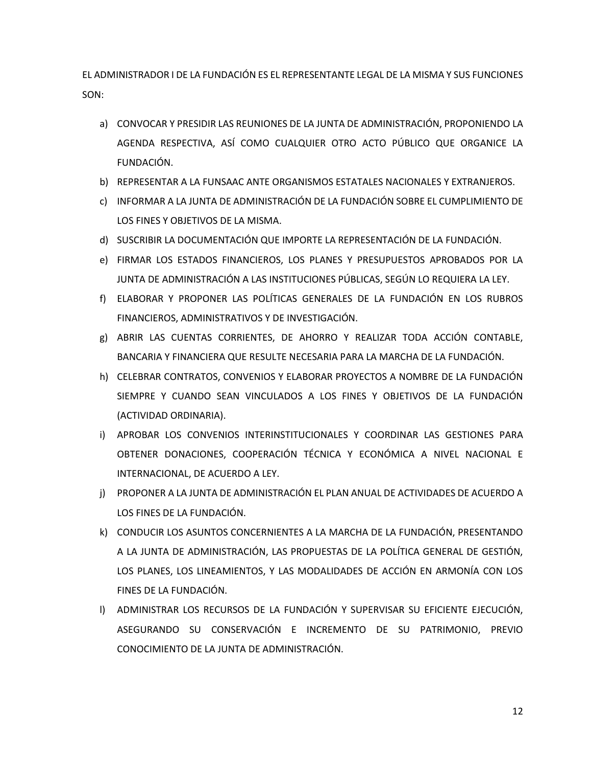EL ADMINISTRADOR I DE LA FUNDACIÓN ES EL REPRESENTANTE LEGAL DE LA MISMA Y SUS FUNCIONES SON:

- a) CONVOCAR Y PRESIDIR LAS REUNIONES DE LA JUNTA DE ADMINISTRACIÓN, PROPONIENDO LA AGENDA RESPECTIVA, ASÍ COMO CUALQUIER OTRO ACTO PÚBLICO QUE ORGANICE LA FUNDACIÓN.
- b) REPRESENTAR A LA FUNSAAC ANTE ORGANISMOS ESTATALES NACIONALES Y EXTRANJEROS.
- c) INFORMAR A LA JUNTA DE ADMINISTRACIÓN DE LA FUNDACIÓN SOBRE EL CUMPLIMIENTO DE LOS FINES Y OBJETIVOS DE LA MISMA.
- d) SUSCRIBIR LA DOCUMENTACIÓN QUE IMPORTE LA REPRESENTACIÓN DE LA FUNDACIÓN.
- e) FIRMAR LOS ESTADOS FINANCIEROS, LOS PLANES Y PRESUPUESTOS APROBADOS POR LA JUNTA DE ADMINISTRACIÓN A LAS INSTITUCIONES PÚBLICAS, SEGÚN LO REQUIERA LA LEY.
- f) ELABORAR Y PROPONER LAS POLÍTICAS GENERALES DE LA FUNDACIÓN EN LOS RUBROS FINANCIEROS, ADMINISTRATIVOS Y DE INVESTIGACIÓN.
- g) ABRIR LAS CUENTAS CORRIENTES, DE AHORRO Y REALIZAR TODA ACCIÓN CONTABLE, BANCARIA Y FINANCIERA QUE RESULTE NECESARIA PARA LA MARCHA DE LA FUNDACIÓN.
- h) CELEBRAR CONTRATOS, CONVENIOS Y ELABORAR PROYECTOS A NOMBRE DE LA FUNDACIÓN SIEMPRE Y CUANDO SEAN VINCULADOS A LOS FINES Y OBJETIVOS DE LA FUNDACIÓN (ACTIVIDAD ORDINARIA).
- i) APROBAR LOS CONVENIOS INTERINSTITUCIONALES Y COORDINAR LAS GESTIONES PARA OBTENER DONACIONES, COOPERACIÓN TÉCNICA Y ECONÓMICA A NIVEL NACIONAL E INTERNACIONAL, DE ACUERDO A LEY.
- j) PROPONER A LA JUNTA DE ADMINISTRACIÓN EL PLAN ANUAL DE ACTIVIDADES DE ACUERDO A LOS FINES DE LA FUNDACIÓN.
- k) CONDUCIR LOS ASUNTOS CONCERNIENTES A LA MARCHA DE LA FUNDACIÓN, PRESENTANDO A LA JUNTA DE ADMINISTRACIÓN, LAS PROPUESTAS DE LA POLÍTICA GENERAL DE GESTIÓN, LOS PLANES, LOS LINEAMIENTOS, Y LAS MODALIDADES DE ACCIÓN EN ARMONÍA CON LOS FINES DE LA FUNDACIÓN.
- l) ADMINISTRAR LOS RECURSOS DE LA FUNDACIÓN Y SUPERVISAR SU EFICIENTE EJECUCIÓN, ASEGURANDO SU CONSERVACIÓN E INCREMENTO DE SU PATRIMONIO, PREVIO CONOCIMIENTO DE LA JUNTA DE ADMINISTRACIÓN.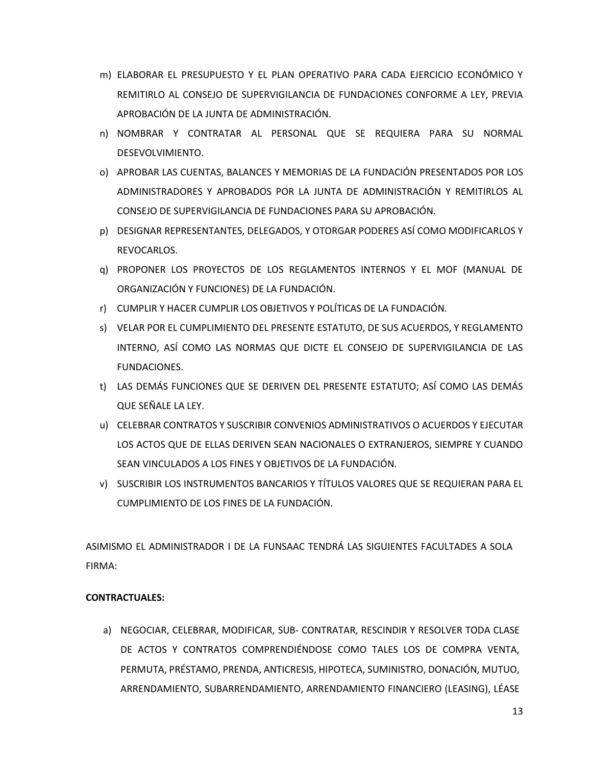- m) ELABORAR EL PRESUPUESTO Y EL PLAN OPERATIVO PARA CADA EJERCICIO ECONÓMICO Y REMITIRLO AL CONSEJO DE SUPERVIGILANCIA DE FUNDACIONES CONFORME A LEY, PREVIA APROBACIÓN DE LA JUNTA DE ADMINISTRACIÓN.
- n) NOMBRAR Y CONTRATAR AL PERSONAL QUE SE REQUIERA PARA SU NORMAL DESEVOLVIMIENTO.
- o) APROBAR LAS CUENTAS, BALANCES Y MEMORIAS DE LA FUNDACIÓN PRESENTADOS POR LOS ADMINISTRADORES Y APROBADOS POR LA JUNTA DE ADMINISTRACIÓN Y REMITIRLOS AL CONSEJO DE SUPERVIGILANCIA DE FUNDACIONES PARA SU APROBACIÓN.
- p) DESIGNAR REPRESENTANTES, DELEGADOS, Y OTORGAR PODERES ASÍ COMO MODIFICARLOS Y REVOCARLOS.
- q) PROPONER LOS PROYECTOS DE LOS REGLAMENTOS INTERNOS Y EL MOF (MANUAL DE ORGANIZACIÓN Y FUNCIONES) DE LA FUNDACIÓN.
- r) CUMPLIR Y HACER CUMPLIR LOS OBJETIVOS Y POLÍTICAS DE LA FUNDACIÓN.
- s) VELAR POR EL CUMPLIMIENTO DEL PRESENTE ESTATUTO, DE SUS ACUERDOS, Y REGLAMENTO INTERNO, ASÍ COMO LAS NORMAS QUE DICTE EL CONSEJO DE SUPERVIGILANCIA DE LAS FUNDACIONES.
- t) LAS DEMÁS FUNCIONES QUE SE DERIVEN DEL PRESENTE ESTATUTO; ASÍ COMO LAS DEMÁS QUE SEÑALE LA LEY.
- u) CELEBRAR CONTRATOS Y SUSCRIBIR CONVENIOS ADMINISTRATIVOS O ACUERDOS Y EJECUTAR LOS ACTOS QUE DE ELLAS DERIVEN SEAN NACIONALES O EXTRANJEROS, SIEMPRE Y CUANDO SEAN VINCULADOS A LOS FINES Y OBJETIVOS DE LA FUNDACIÓN.
- v) SUSCRIBIR LOS INSTRUMENTOS BANCARIOS Y TÍTULOS VALORES QUE SE REQUIERAN PARA EL CUMPLIMIENTO DE LOS FINES DE LA FUNDACIÓN.

ASIMISMO EL ADMINISTRADOR I DE LA FUNSAAC TENDRÁ LAS SIGUIENTES FACULTADES A SOLA FIRMA:

### **CONTRACTUALES:**

a) NEGOCIAR, CELEBRAR, MODIFICAR, SUB- CONTRATAR, RESCINDIR Y RESOLVER TODA CLASE DE ACTOS Y CONTRATOS COMPRENDIÉNDOSE COMO TALES LOS DE COMPRA VENTA, PERMUTA, PRÉSTAMO, PRENDA, ANTICRESIS, HIPOTECA, SUMINISTRO, DONACIÓN, MUTUO, ARRENDAMIENTO, SUBARRENDAMIENTO, ARRENDAMIENTO FINANCIERO (LEASING), LÉASE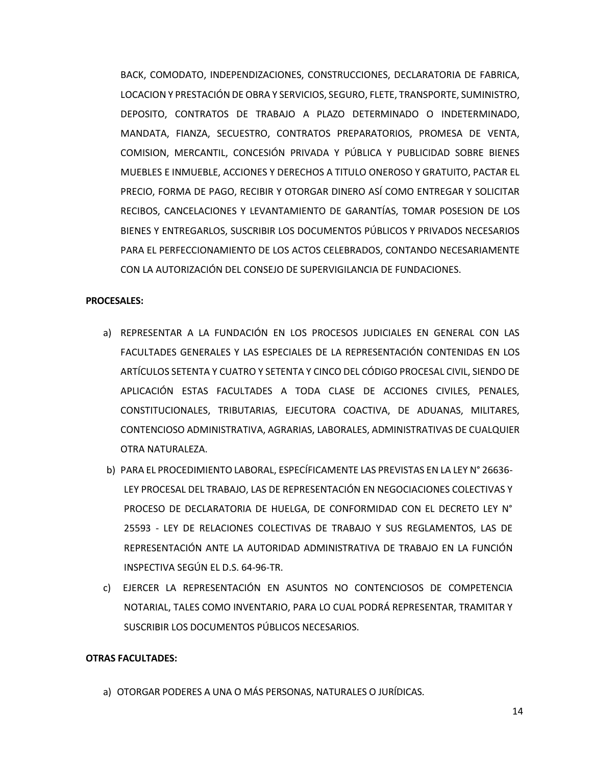BACK, COMODATO, INDEPENDIZACIONES, CONSTRUCCIONES, DECLARATORIA DE FABRICA, LOCACION Y PRESTACIÓN DE OBRA Y SERVICIOS, SEGURO, FLETE, TRANSPORTE, SUMINISTRO, DEPOSITO, CONTRATOS DE TRABAJO A PLAZO DETERMINADO O INDETERMINADO, MANDATA, FIANZA, SECUESTRO, CONTRATOS PREPARATORIOS, PROMESA DE VENTA, COMISION, MERCANTIL, CONCESIÓN PRIVADA Y PÚBLICA Y PUBLICIDAD SOBRE BIENES MUEBLES E INMUEBLE, ACCIONES Y DERECHOS A TITULO ONEROSO Y GRATUITO, PACTAR EL PRECIO, FORMA DE PAGO, RECIBIR Y OTORGAR DINERO ASÍ COMO ENTREGAR Y SOLICITAR RECIBOS, CANCELACIONES Y LEVANTAMIENTO DE GARANTÍAS, TOMAR POSESION DE LOS BIENES Y ENTREGARLOS, SUSCRIBIR LOS DOCUMENTOS PÚBLICOS Y PRIVADOS NECESARIOS PARA EL PERFECCIONAMIENTO DE LOS ACTOS CELEBRADOS, CONTANDO NECESARIAMENTE CON LA AUTORIZACIÓN DEL CONSEJO DE SUPERVIGILANCIA DE FUNDACIONES.

#### **PROCESALES:**

- a) REPRESENTAR A LA FUNDACIÓN EN LOS PROCESOS JUDICIALES EN GENERAL CON LAS FACULTADES GENERALES Y LAS ESPECIALES DE LA REPRESENTACIÓN CONTENIDAS EN LOS ARTÍCULOS SETENTA Y CUATRO Y SETENTA Y CINCO DEL CÓDIGO PROCESAL CIVIL, SIENDO DE APLICACIÓN ESTAS FACULTADES A TODA CLASE DE ACCIONES CIVILES, PENALES, CONSTITUCIONALES, TRIBUTARIAS, EJECUTORA COACTIVA, DE ADUANAS, MILITARES, CONTENCIOSO ADMINISTRATIVA, AGRARIAS, LABORALES, ADMINISTRATIVAS DE CUALQUIER OTRA NATURALEZA.
- b) PARA EL PROCEDIMIENTO LABORAL, ESPECÍFICAMENTE LAS PREVISTAS EN LA LEY N° 26636- LEY PROCESAL DEL TRABAJO, LAS DE REPRESENTACIÓN EN NEGOCIACIONES COLECTIVAS Y PROCESO DE DECLARATORIA DE HUELGA, DE CONFORMIDAD CON EL DECRETO LEY N° 25593 - LEY DE RELACIONES COLECTIVAS DE TRABAJO Y SUS REGLAMENTOS, LAS DE REPRESENTACIÓN ANTE LA AUTORIDAD ADMINISTRATIVA DE TRABAJO EN LA FUNCIÓN INSPECTIVA SEGÚN EL D.S. 64-96-TR.
- c) EJERCER LA REPRESENTACIÓN EN ASUNTOS NO CONTENCIOSOS DE COMPETENCIA NOTARIAL, TALES COMO INVENTARIO, PARA LO CUAL PODRÁ REPRESENTAR, TRAMITAR Y SUSCRIBIR LOS DOCUMENTOS PÚBLICOS NECESARIOS.

#### **OTRAS FACULTADES:**

a) OTORGAR PODERES A UNA O MÁS PERSONAS, NATURALES O JURÍDICAS.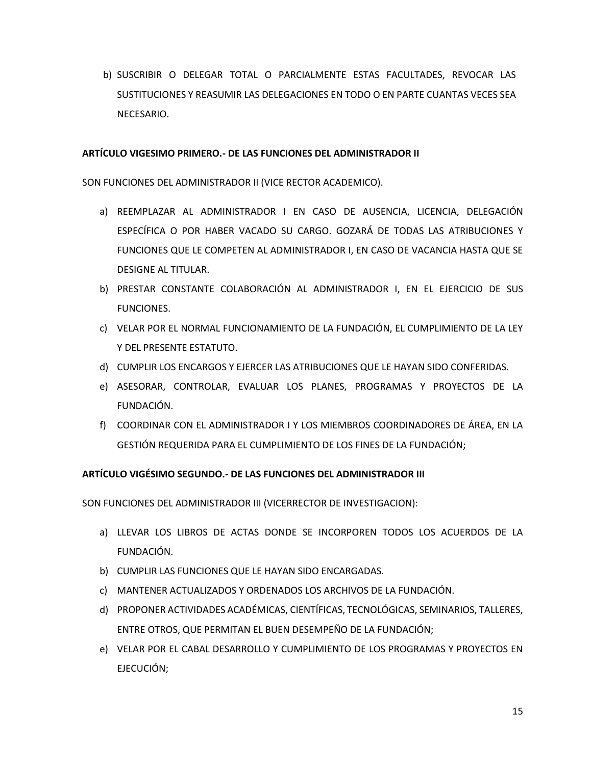b) SUSCRIBIR O DELEGAR TOTAL O PARCIALMENTE ESTAS FACULTADES, REVOCAR LAS SUSTITUCIONES Y REASUMIR LAS DELEGACIONES EN TODO O EN PARTE CUANTAS VECES SEA NECESARIO.

#### **ARTÍCULO VIGESIMO PRIMERO.- DE LAS FUNCIONES DEL ADMINISTRADOR II**

SON FUNCIONES DEL ADMINISTRADOR II (VICE RECTOR ACADEMICO).

- a) REEMPLAZAR AL ADMINISTRADOR I EN CASO DE AUSENCIA, LICENCIA, DELEGACIÓN ESPECÍFICA O POR HABER VACADO SU CARGO. GOZARÁ DE TODAS LAS ATRIBUCIONES Y FUNCIONES QUE LE COMPETEN AL ADMINISTRADOR I, EN CASO DE VACANCIA HASTA QUE SE DESIGNE AL TITULAR.
- b) PRESTAR CONSTANTE COLABORACIÓN AL ADMINISTRADOR I, EN EL EJERCICIO DE SUS FUNCIONES.
- c) VELAR POR EL NORMAL FUNCIONAMIENTO DE LA FUNDACIÓN, EL CUMPLIMIENTO DE LA LEY Y DEL PRESENTE ESTATUTO.
- d) CUMPLIR LOS ENCARGOS Y EJERCER LAS ATRIBUCIONES QUE LE HAYAN SIDO CONFERIDAS.
- e) ASESORAR, CONTROLAR, EVALUAR LOS PLANES, PROGRAMAS Y PROYECTOS DE LA FUNDACIÓN.
- f) COORDINAR CON EL ADMINISTRADOR I Y LOS MIEMBROS COORDINADORES DE ÁREA, EN LA GESTIÓN REQUERIDA PARA EL CUMPLIMIENTO DE LOS FINES DE LA FUNDACIÓN;

#### **ARTÍCULO VIGÉSIMO SEGUNDO.- DE LAS FUNCIONES DEL ADMINISTRADOR III**

SON FUNCIONES DEL ADMINISTRADOR III (VICERRECTOR DE INVESTIGACION):

- a) LLEVAR LOS LIBROS DE ACTAS DONDE SE INCORPOREN TODOS LOS ACUERDOS DE LA FUNDACIÓN.
- b) CUMPLIR LAS FUNCIONES QUE LE HAYAN SIDO ENCARGADAS.
- c) MANTENER ACTUALIZADOS Y ORDENADOS LOS ARCHIVOS DE LA FUNDACIÓN.
- d) PROPONER ACTIVIDADES ACADÉMICAS, CIENTÍFICAS, TECNOLÓGICAS, SEMINARIOS, TALLERES, ENTRE OTROS, QUE PERMITAN EL BUEN DESEMPEÑO DE LA FUNDACIÓN;
- e) VELAR POR EL CABAL DESARROLLO Y CUMPLIMIENTO DE LOS PROGRAMAS Y PROYECTOS EN EJECUCIÓN;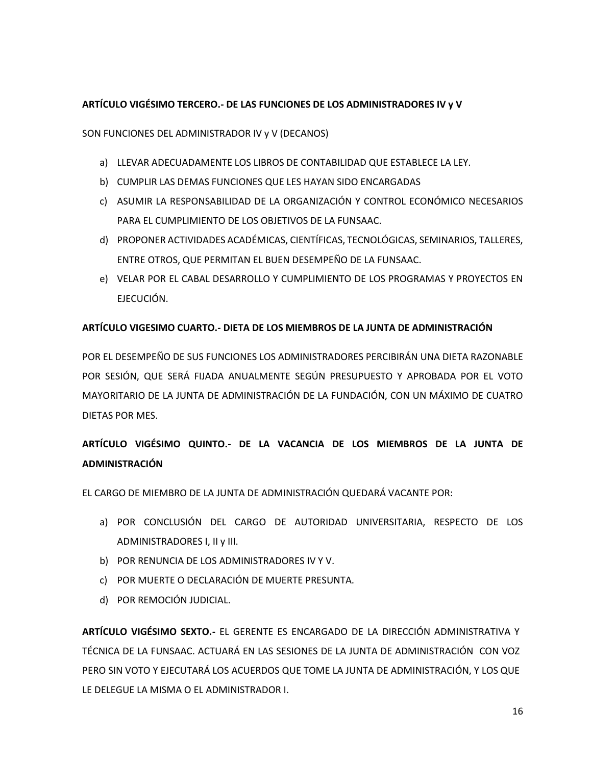### **ARTÍCULO VIGÉSIMO TERCERO.- DE LAS FUNCIONES DE LOS ADMINISTRADORES IV y V**

SON FUNCIONES DEL ADMINISTRADOR IV y V (DECANOS)

- a) LLEVAR ADECUADAMENTE LOS LIBROS DE CONTABILIDAD QUE ESTABLECE LA LEY.
- b) CUMPLIR LAS DEMAS FUNCIONES QUE LES HAYAN SIDO ENCARGADAS
- c) ASUMIR LA RESPONSABILIDAD DE LA ORGANIZACIÓN Y CONTROL ECONÓMICO NECESARIOS PARA EL CUMPLIMIENTO DE LOS OBJETIVOS DE LA FUNSAAC.
- d) PROPONER ACTIVIDADES ACADÉMICAS, CIENTÍFICAS, TECNOLÓGICAS, SEMINARIOS, TALLERES, ENTRE OTROS, QUE PERMITAN EL BUEN DESEMPEÑO DE LA FUNSAAC.
- e) VELAR POR EL CABAL DESARROLLO Y CUMPLIMIENTO DE LOS PROGRAMAS Y PROYECTOS EN EJECUCIÓN.

#### **ARTÍCULO VIGESIMO CUARTO.- DIETA DE LOS MIEMBROS DE LA JUNTA DE ADMINISTRACIÓN**

POR EL DESEMPEÑO DE SUS FUNCIONES LOS ADMINISTRADORES PERCIBIRÁN UNA DIETA RAZONABLE POR SESIÓN, QUE SERÁ FIJADA ANUALMENTE SEGÚN PRESUPUESTO Y APROBADA POR EL VOTO MAYORITARIO DE LA JUNTA DE ADMINISTRACIÓN DE LA FUNDACIÓN, CON UN MÁXIMO DE CUATRO DIETAS POR MES.

# **ARTÍCULO VIGÉSIMO QUINTO.- DE LA VACANCIA DE LOS MIEMBROS DE LA JUNTA DE ADMINISTRACIÓN**

EL CARGO DE MIEMBRO DE LA JUNTA DE ADMINISTRACIÓN QUEDARÁ VACANTE POR:

- a) POR CONCLUSIÓN DEL CARGO DE AUTORIDAD UNIVERSITARIA, RESPECTO DE LOS ADMINISTRADORES I, II y III.
- b) POR RENUNCIA DE LOS ADMINISTRADORES IV Y V.
- c) POR MUERTE O DECLARACIÓN DE MUERTE PRESUNTA.
- d) POR REMOCIÓN JUDICIAL.

**ARTÍCULO VIGÉSIMO SEXTO.-** EL GERENTE ES ENCARGADO DE LA DIRECCIÓN ADMINISTRATIVA Y TÉCNICA DE LA FUNSAAC. ACTUARÁ EN LAS SESIONES DE LA JUNTA DE ADMINISTRACIÓN CON VOZ PERO SIN VOTO Y EJECUTARÁ LOS ACUERDOS QUE TOME LA JUNTA DE ADMINISTRACIÓN, Y LOS QUE LE DELEGUE LA MISMA O EL ADMINISTRADOR I.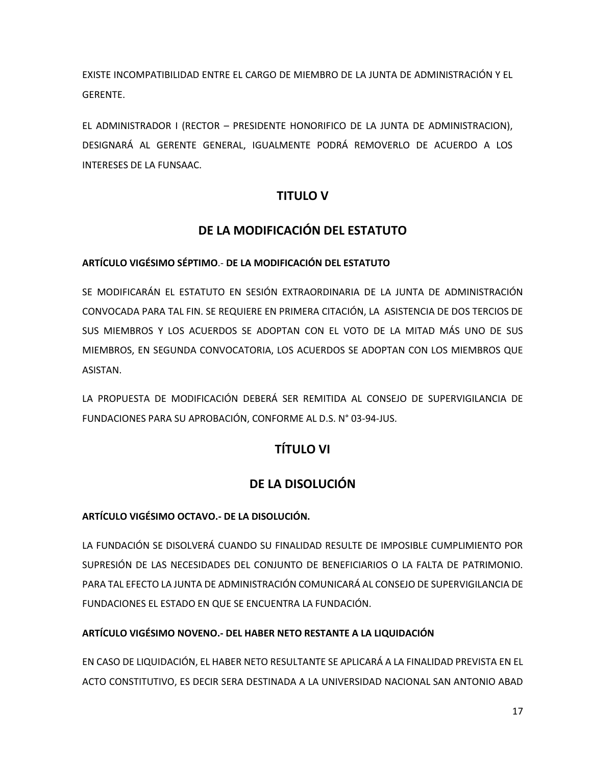EXISTE INCOMPATIBILIDAD ENTRE EL CARGO DE MIEMBRO DE LA JUNTA DE ADMINISTRACIÓN Y EL GERENTE.

EL ADMINISTRADOR I (RECTOR – PRESIDENTE HONORIFICO DE LA JUNTA DE ADMINISTRACION), DESIGNARÁ AL GERENTE GENERAL, IGUALMENTE PODRÁ REMOVERLO DE ACUERDO A LOS INTERESES DE LA FUNSAAC.

# **TITULO V**

# **DE LA MODIFICACIÓN DEL ESTATUTO**

### **ARTÍCULO VIGÉSIMO SÉPTIMO**.- **DE LA MODIFICACIÓN DEL ESTATUTO**

SE MODIFICARÁN EL ESTATUTO EN SESIÓN EXTRAORDINARIA DE LA JUNTA DE ADMINISTRACIÓN CONVOCADA PARA TAL FIN. SE REQUIERE EN PRIMERA CITACIÓN, LA ASISTENCIA DE DOS TERCIOS DE SUS MIEMBROS Y LOS ACUERDOS SE ADOPTAN CON EL VOTO DE LA MITAD MÁS UNO DE SUS MIEMBROS, EN SEGUNDA CONVOCATORIA, LOS ACUERDOS SE ADOPTAN CON LOS MIEMBROS QUE ASISTAN.

LA PROPUESTA DE MODIFICACIÓN DEBERÁ SER REMITIDA AL CONSEJO DE SUPERVIGILANCIA DE FUNDACIONES PARA SU APROBACIÓN, CONFORME AL D.S. N° 03-94-JUS.

# **TÍTULO VI**

# **DE LA DISOLUCIÓN**

## **ARTÍCULO VIGÉSIMO OCTAVO.- DE LA DISOLUCIÓN.**

LA FUNDACIÓN SE DISOLVERÁ CUANDO SU FINALIDAD RESULTE DE IMPOSIBLE CUMPLIMIENTO POR SUPRESIÓN DE LAS NECESIDADES DEL CONJUNTO DE BENEFICIARIOS O LA FALTA DE PATRIMONIO. PARA TAL EFECTO LA JUNTA DE ADMINISTRACIÓN COMUNICARÁ AL CONSEJO DE SUPERVIGILANCIA DE FUNDACIONES EL ESTADO EN QUE SE ENCUENTRA LA FUNDACIÓN.

## **ARTÍCULO VIGÉSIMO NOVENO.- DEL HABER NETO RESTANTE A LA LIQUIDACIÓN**

EN CASO DE LIQUIDACIÓN, EL HABER NETO RESULTANTE SE APLICARÁ A LA FINALIDAD PREVISTA EN EL ACTO CONSTITUTIVO, ES DECIR SERA DESTINADA A LA UNIVERSIDAD NACIONAL SAN ANTONIO ABAD